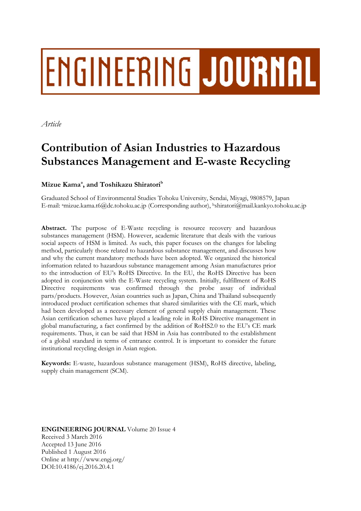# **ENGINEERING JOURNAL**

*Article* 

# **Contribution of Asian Industries to Hazardous Substances Management and E-waste Recycling**

# Mizue Kama<sup>a</sup>, and Toshikazu Shiratori $^{\rm b}$

Graduated School of Environmental Studies Tohoku University, Sendai, Miyagi, 9808579, Japan E-mail: amizue.kama.t6@dc.tohoku.ac.jp (Corresponding author), bshiratori@mail.kankyo.tohoku.ac.jp

**Abstract.** The purpose of E-Waste recycling is resource recovery and hazardous substances management (HSM). However, academic literature that deals with the various social aspects of HSM is limited. As such, this paper focuses on the changes for labeling method, particularly those related to hazardous substance management, and discusses how and why the current mandatory methods have been adopted. We organized the historical information related to hazardous substance management among Asian manufactures prior to the introduction of EU's RoHS Directive. In the EU, the RoHS Directive has been adopted in conjunction with the E-Waste recycling system. Initially, fulfillment of RoHS Directive requirements was confirmed through the probe assay of individual parts/products. However, Asian countries such as Japan, China and Thailand subsequently introduced product certification schemes that shared similarities with the CE mark, which had been developed as a necessary element of general supply chain management. These Asian certification schemes have played a leading role in RoHS Directive management in global manufacturing, a fact confirmed by the addition of RoHS2.0 to the EU's CE mark requirements. Thus, it can be said that HSM in Asia has contributed to the establishment of a global standard in terms of entrance control. It is important to consider the future institutional recycling design in Asian region.

**Keywords:** E-waste, hazardous substance management (HSM), RoHS directive, labeling, supply chain management (SCM).

**ENGINEERING JOURNAL** Volume 20 Issue 4 Received 3 March 2016 Accepted 13 June 2016 Published 1 August 2016 Online at http://www.engj.org/ DOI:10.4186/ej.2016.20.4.1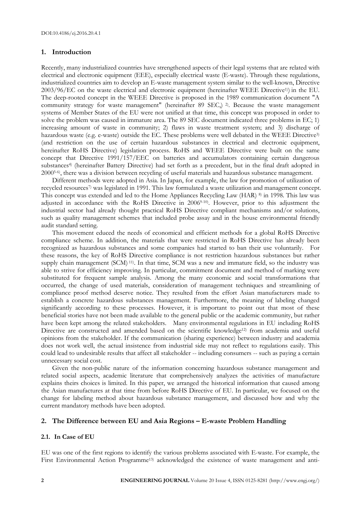# **1. Introduction**

Recently, many industrialized countries have strengthened aspects of their legal systems that are related with electrical and electronic equipment (EEE), especially electrical waste (E-waste). Through these regulations, industrialized countries aim to develop an E-waste management system similar to the well-known, Directive 2003/96/EC on the waste electrical and electronic equipment (hereinafter WEEE Directive1)) in the EU. The deep-rooted concept in the WEEE Directive is proposed in the 1989 communication document "A community strategy for waste management" (hereinafter 89 SEC,) <sup>2</sup>. Because the waste management systems of Member States of the EU were not unified at that time, this concept was proposed in order to solve the problem was caused in immature area. The 89 SEC document indicated three problems in EC; 1) increasing amount of waste in community; 2) flaws in waste treatment system; and 3) discharge of hazardous waste (e.g. e-waste) outside the EC. These problems were well debated in the WEEE Directive<sup>3)</sup> (and restriction on the use of certain hazardous substances in electrical and electronic equipment, hereinafter RoHS Directive) legislation process. RoHS and WEEE Directive were built on the same concept that Directive 1991/157/EEC on batteries and accumulators containing certain dangerous substances4) (hereinafter Battery Directive) had set forth as a precedent, but in the final draft adopted in 20005-6), there was a division between recycling of useful materials and hazardous substance management.

Different methods were adopted in Asia. In Japan, for example, the law for promotion of utilization of recycled resources7) was legislated in 1991. This law formulated a waste utilization and management concept. This concept was extended and led to the Home Appliances Recycling Law (HAR) 8) in 1998. This law was adjusted in accordance with the RoHS Directive in 20069-10). However, prior to this adjustment the industrial sector had already thought practical RoHS Directive compliant mechanisms and/or solutions, such as quality management schemes that included probe assay and in the house environmental friendly audit standard setting.

This movement educed the needs of economical and efficient methods for a global RoHS Directive compliance scheme. In addition, the materials that were restricted in RoHS Directive has already been recognized as hazardous substances and some companies had started to ban their use voluntarily. For these reasons, the key of RoHS Directive compliance is not restriction hazardous substances but rather supply chain management (SCM) <sup>11)</sup>. In that time, SCM was a new and immature field, so the industry was able to strive for efficiency improving. In particular, commitment document and method of marking were substituted for frequent sample analysis. Among the many economic and social transformations that occurred, the change of used materials, consideration of management techniques and streamlining of compliance proof method deserve notice. They resulted from the effort Asian manufacturers made to establish a concrete hazardous substances management. Furthermore, the meaning of labeling changed significantly according to these processes. However, it is important to point out that most of these beneficial stories have not been made available to the general public or the academic community, but rather have been kept among the related stakeholders. Many environmental regulations in EU including RoHS Directive are constructed and amended based on the scientific knowledge<sup>12)</sup> from academia and useful opinions from the stakeholder. If the communication (sharing experience) between industry and academia does not work well, the actual insistence from industrial side may not reflect to regulations easily. This could lead to undesirable results that affect all stakeholder -- including consumers -- such as paying a certain unnecessary social cost.

Given the non-public nature of the information concerning hazardous substance management and related social aspects, academic literature that comprehensively analyzes the activities of manufacture explains theirs choices is limited. In this paper, we arranged the historical information that caused among the Asian manufactures at that time from before RoHS Directive of EU. In particular, we focused on the change for labeling method about hazardous substance management, and discussed how and why the current mandatory methods have been adopted.

# **2. The Difference between EU and Asia Regions – E-waste Problem Handling**

# **2.1. In Case of EU**

EU was one of the first regions to identify the various problems associated with E-waste. For example, the First Environmental Action Programme<sup>13)</sup> acknowledged the existence of waste management and anti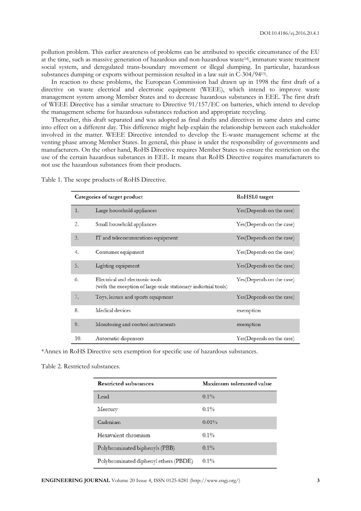pollution problem. This earlier awareness of problems can be attributed to specific circumstance of the EU at the time, such as massive generation of hazardous and non-hazardous waste14), immature waste treatment social system, and deregulated trans-boundary movement or illegal dumping. In particular, hazardous substances dumping or exports without permission resulted in a law suit in C-304/9415).

In reaction to these problems, the European Commission had drawn up in 1998 the first draft of a directive on waste electrical and electronic equipment (WEEE), which intend to improve waste management system among Member States and to decrease hazardous substances in EEE. The first draft of WEEE Directive has a similar structure to Directive 91/157/EC on batteries, which intend to develop the management scheme for hazardous substances reduction and appropriate recycling.

Thereafter, this draft separated and was adopted as final drafts and directives in same dates and came into effect on a different day. This difference might help explain the relationship between each stakeholder involved in the matter. WEEE Directive intended to develop the E-waste management scheme at the venting phase among Member States. In general, this phase is under the responsibility of governments and manufacturers. On the other hand, RoHS Directive requires Member States to ensure the restriction on the use of the certain hazardous substances in EEE. It means that RoHS Directive requires manufacturers to not use the hazardous substances from their products.

|     | Categories of target product                                                                       | RoHS1.0 target           |  |  |  |  |
|-----|----------------------------------------------------------------------------------------------------|--------------------------|--|--|--|--|
| 1.  | Large household appliances                                                                         | Yes(Depends on the case) |  |  |  |  |
| 2.  | Small household appliances                                                                         | Yes(Depends on the case) |  |  |  |  |
| 3.  | IT and telecommucations equipment                                                                  | Yes(Depends on the case) |  |  |  |  |
| 4.  | Consumer equipment                                                                                 | Yes(Depends on the case) |  |  |  |  |
| 5.  | Lighting equipment                                                                                 | Yes(Depends on the case) |  |  |  |  |
| 6.  | Electrical and electronic tools<br>(with the exception of large-scale stationary industrial tools) | Yes(Depends on the case) |  |  |  |  |
| 7.  | Toys, leisure and sports equipment                                                                 | Yes(Depends on the case) |  |  |  |  |
| 8.  | Medical devices                                                                                    | exemption                |  |  |  |  |
| 9.  | Monitoring and control instruments                                                                 | exemption                |  |  |  |  |
| 10. | Automatic dispensers                                                                               | Yes(Depends on the case) |  |  |  |  |

Table 1. The scope products of RoHS Directive.

\*Annex in RoHS Directive sets exemption for specific use of hazardous substances.

#### Table 2. Restricted substances.

| Restricted substances                 | Maximum toleranted value |  |  |  |  |  |
|---------------------------------------|--------------------------|--|--|--|--|--|
| Lead                                  | $0.1\%$                  |  |  |  |  |  |
| Mercury                               | 0.1%                     |  |  |  |  |  |
| Cadmium                               | 0.01%                    |  |  |  |  |  |
| Hexavalent chromium                   | $0.1\%$                  |  |  |  |  |  |
| Polybrominated biphenyls (PBB)        | $0.1\%$                  |  |  |  |  |  |
| Polybrominated diphenyl ethers (PBDE) | $0.1\%$                  |  |  |  |  |  |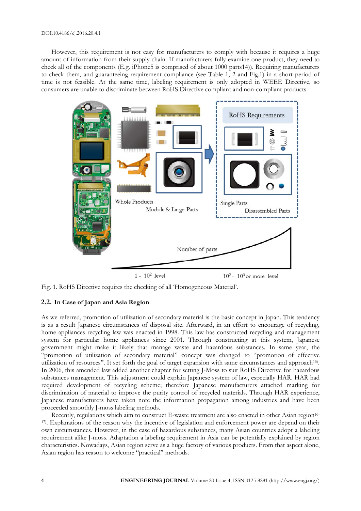#### DOI:10.4186/ej.2016.20.4.1

However, this requirement is not easy for manufacturers to comply with because it requires a huge amount of information from their supply chain. If manufacturers fully examine one product, they need to check all of the components (E.g. iPhone5 is comprised of about 1000 parts14)). Requiring manufacturers to check them, and guaranteeing requirement compliance (see Table 1, 2 and Fig.1) in a short period of time is not feasible. At the same time, labeling requirement is only adopted in WEEE Directive, so consumers are unable to discriminate between RoHS Directive compliant and non-compliant products.



Fig. 1. RoHS Directive requires the checking of all 'Homogeneous Material'.

# **2.2. In Case of Japan and Asia Region**

As we referred, promotion of utilization of secondary material is the basic concept in Japan. This tendency is as a result Japanese circumstances of disposal site. Afterward, in an effort to encourage of recycling, home appliances recycling law was enacted in 1998. This law has constructed recycling and management system for particular home appliances since 2001. Through constructing at this system, Japanese government might make it likely that manage waste and hazardous substances. In same year, the "promotion of utilization of secondary material" concept was changed to "promotion of effective utilization of resources". It set forth the goal of target expansion with same circumstances and approach15). In 2006, this amended law added another chapter for setting J-Moss to suit RoHS Directive for hazardous substances management. This adjustment could explain Japanese system of law, especially HAR. HAR had required development of recycling scheme; therefore Japanese manufacturers attached marking for discrimination of material to improve the purity control of recycled materials. Through HAR experience, Japanese manufacturers have taken note the information propagation among industries and have been proceeded smoothly J-moss labeling methods.

Recently, regulations which aim to construct E-waste treatment are also enacted in other Asian region<sup>16-</sup> 17). Explanations of the reason why the incentive of legislation and enforcement power are depend on their own circumstances. However, in the case of hazardous substances, many Asian countries adopt a labeling requirement alike J-moss. Adaptation a labeling requirement in Asia can be potentially explained by region characteristics. Nowadays, Asian region serve as a huge factory of various products. From that aspect alone, Asian region has reason to welcome "practical" methods.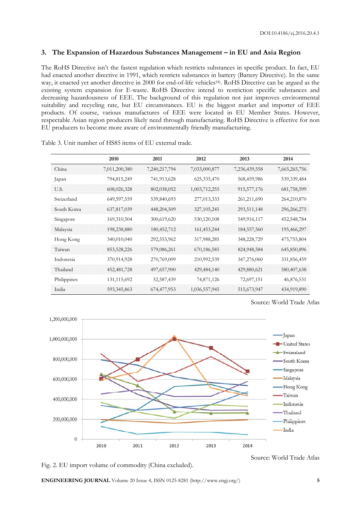# **3. The Expansion of Hazardous Substances Management – in EU and Asia Region**

The RoHS Directive isn't the fastest regulation which restricts substances in specific product. In fact, EU had enacted another directive in 1991, which restricts substances in battery (Battery Directive). In the same way, it enacted yet another directive in 2000 for end-of-life vehicles18). RoHS Directive can be argued as the existing system expansion for E-waste. RoHS Directive intend to restriction specific substances and decreasing hazardousness of EEE. The background of this regulation not just improves environmental suitability and recycling rate, but EU circumstances. EU is the biggest market and importer of EEE products. Of course, various manufactures of EEE were located in EU Member States. However, respectable Asian region producers likely need through manufacturing. RoHS Directive is effective for non EU producers to become more aware of environmentally friendly manufacturing.

|             | 2010          | 2011          | 2012          | 2013          | 2014          |  |
|-------------|---------------|---------------|---------------|---------------|---------------|--|
| China       | 7,011,200,380 | 7,240,217,794 | 7,033,000,877 | 7,236,439,558 | 7,665,265,756 |  |
| Japan       | 794,815,249   | 741,913,628   | 625,335,470   | 568,459,986   | 539,339,484   |  |
| U.S.        | 608,026,328   | 802,038,052   | 1,003,712,255 | 915,577,176   | 681,758,599   |  |
| Swizerland  | 649,597,559   | 539,840,693   | 277,013,333   | 261,211,690   | 264,210,870   |  |
| South Korea | 637,817,039   | 448,204,509   | 327, 105, 245 | 293,511,148   | 296,266,275   |  |
| Singapore   | 169,310,504   | 300,619,620   | 530,120,108   | 549,916,117   | 452,548,784   |  |
| Malaysia    | 198,238,880   | 180,452,712   | 161,453,244   | 184,557,560   | 195,466,297   |  |
| Hong Kong   | 340,010,040   | 292,553,962   | 317,988,285   | 348,228,729   | 475,755,804   |  |
| Taiwan      | 853,528,226   | 579,086,261   | 670,186,585   | 824,948,584   | 645,850,896   |  |
| Indonesia   | 370,914,928   | 270,769,009   | 210,992,539   | 347,276,060   | 331,856,459   |  |
| Thailand    | 452, 481, 728 | 497,657,900   | 429, 484, 140 | 429,880,621   | 580,407,638   |  |
| Philippines | 131,115,692   | 52,587,439    | 74,871,126    | 72,697,151    | 46,876,531    |  |
| India       | 593, 345, 863 | 674,477,953   | 1,036,557,945 | 515,673,947   | 434,919,890   |  |

Table 3. Unit number of HS85 items of EU external trade.

Source: World Trade Atlas



Fig. 2. EU import volume of commodity (China excluded).

Source: World Trade Atlas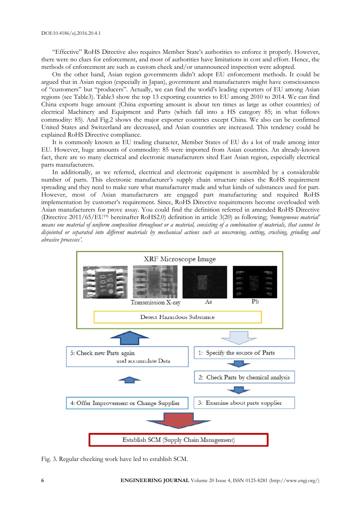"Effective" RoHS Directive also requires Member State's authorities to enforce it properly. However, there were no clues for enforcement, and most of authorities have limitations in cost and effort. Hence, the methods of enforcement are such as custom check and/or unannounced inspection were adopted.

On the other hand, Asian region governments didn't adopt EU enforcement methods. It could be argued that in Asian region (especially in Japan), government and manufacturers might have consciousness of "customers" but "producers". Actually, we can find the world's leading exporters of EU among Asian regions (see Table3). Table3 show the top 13 exporting countries to EU among 2010 to 2014. We can find China exports huge amount (China exporting amount is about ten times as large as other countries) of electrical Machinery and Equipment and Parts (which fall into a HS category 85; in what follows commodity: 85). And Fig.2 shows the major exporter countries except China. We also can be confirmed United States and Switzerland are decreased, and Asian countries are increased. This tendency could be explained RoHS Directive compliance.

It is commonly known as EU trading character, Member States of EU do a lot of trade among inter EU. However, huge amounts of commodity: 85 were imported from Asian countries. An already-known fact, there are so many electrical and electronic manufacturers sited East Asian region, especially electrical parts manufacturers.

In additionally, as we referred, electrical and electronic equipment is assembled by a considerable number of parts. This electronic manufacturer's supply chain structure raises the RoHS requirement spreading and they need to make sure what manufacturer made and what kinds of substances used for part. However, most of Asian manufacturers are engaged part manufacturing and required RoHS implementation by customer's requirement. Since, RoHS Directive requirements become overloaded with Asian manufacturers for prove assay. You could find the definition referred in amended RoHS Directive (Directive 2011/65/EU19) hereinafter RoHS2.0) definition in article 3(20) as following; *'homogeneous material' means one material of uniform composition throughout or a material, consisting of a combination of materials, that cannot be disjointed or separated into different materials by mechanical actions such as unscrewing, cutting, crushing, grinding and abrasive processes'.*



Fig. 3. Regular checking work have led to establish SCM.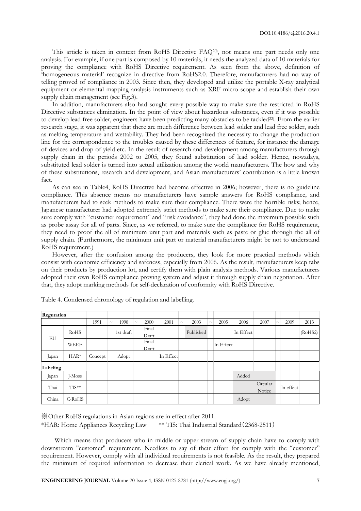This article is taken in context from RoHS Directive FAQ20), not means one part needs only one analysis. For example, if one part is composed by 10 materials, it needs the analyzed data of 10 materials for proving the compliance with RoHS Directive requirement. As seen from the above, definition of 'homogeneous material' recognize in directive from RoHS2.0. Therefore, manufacturers had no way of telling proved of compliance in 2003. Since then, they developed and utilize the portable X-ray analytical equipment or elemental mapping analysis instruments such as XRF micro scope and establish their own supply chain management (see Fig.3).

In addition, manufacturers also had sought every possible way to make sure the restricted in RoHS Directive substances elimination. In the point of view about hazardous substances, even if it was possible to develop lead free solder, engineers have been predicting many obstacles to be tackled<sup>22)</sup>. From the earlier research stage, it was apparent that there are much difference between lead solder and lead free solder, such as melting temperature and wettability. They had been recognized the necessity to change the production line for the correspondence to the troubles caused by these differences of feature, for instance the damage of devices and drop of yield etc. In the result of research and development among manufacturers through supply chain in the periods 2002 to 2005, they found substitution of lead solder. Hence, nowadays, substituted lead solder is turned into actual utilization among the world manufacturers. The how and why of these substitutions, research and development, and Asian manufacturers' contribution is a little known fact.

As can see in Table4, RoHS Directive had become effective in 2006; however, there is no guideline compliance. This absence means no manufacturers have sample answers for RoHS compliance, and manufacturers had to seek methods to make sure their compliance. There were the horrible risks; hence, Japanese manufacturer had adopted extremely strict methods to make sure their compliance. Due to make sure comply with "customer requirement" and "risk avoidance", they had done the maximum possible such as probe assay for all of parts. Since, as we referred, to make sure the compliance for RoHS requirement, they need to proof the all of minimum unit part and materials such as paste or glue through the all of supply chain. (Furthermore, the minimum unit part or material manufacturers might be not to understand RoHS requirement.)

However, after the confusion among the producers, they look for more practical methods which consist with economic efficiency and safeness, especially from 2006. As the result, manufacturers keep tabs on their products by production lot, and certify them with plain analysis methods. Various manufacturers adopted their own RoHS compliance proving system and adjust it through supply chain negotiation. After that, they adopt marking methods for self-declaration of conformity with RoHS Directive.

| Reguration |             |         |        |           |        |                |           |        |           |        |           |           |                    |        |           |         |
|------------|-------------|---------|--------|-----------|--------|----------------|-----------|--------|-----------|--------|-----------|-----------|--------------------|--------|-----------|---------|
|            |             | 1991    | $\sim$ | 1998      | $\sim$ | 2000           | 2001      | $\sim$ | 2003      | $\sim$ | 2005      | 2006      | 2007               | $\sim$ | 2009      | 2013    |
| EU         | <b>RoHS</b> |         |        | 1st draft |        | Final<br>Draft |           |        | Published |        |           | In Effect |                    |        |           | (RoHS2) |
|            | <b>WEEE</b> |         |        |           |        | Final<br>Draft |           |        |           |        | In Effect |           |                    |        |           |         |
| Japan      | $HAR*$      | Concept |        | Adopt     |        |                | In Effect |        |           |        |           |           |                    |        |           |         |
| Labeling   |             |         |        |           |        |                |           |        |           |        |           |           |                    |        |           |         |
| Japan      | I-Moss      |         |        |           |        |                |           |        |           |        |           | Added     |                    |        |           |         |
| Thai       | TIS**       |         |        |           |        |                |           |        |           |        |           |           | Circular<br>Notice |        | In effect |         |
| China      | C-RoHS      |         |        |           |        |                |           |        |           |        |           | Adopt     |                    |        |           |         |

Table 4. Condensed chronology of regulation and labelling.

※ Other RoHS regulations in Asian regions are in effect after 2011. \*HAR: Home Appliances Recycling Law \*\* TIS: Thai Industrial Standard(2368-2511)

Which means that producers who in middle or upper stream of supply chain have to comply with downstream "customer" requirement. Needless to say of their effort for comply with the "customer" requirement. However, comply with all individual requirements is not feasible. As the result, they prepared the minimum of required information to decrease their clerical work. As we have already mentioned,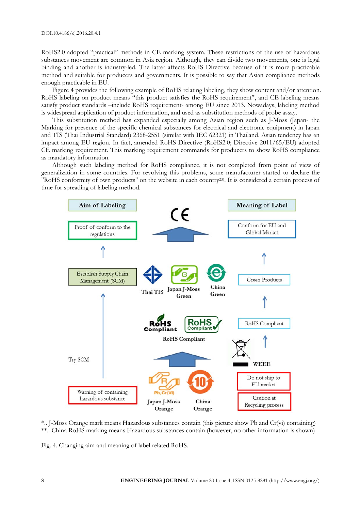RoHS2.0 adopted "practical" methods in CE marking system. These restrictions of the use of hazardous substances movement are common in Asia region. Although, they can divide two movements, one is legal binding and another is industry-led. The latter affects RoHS Directive because of it is more practicable method and suitable for producers and governments. It is possible to say that Asian compliance methods enough practicable in EU.

Figure 4 provides the following example of RoHS relating labeling, they show content and/or attention. RoHS labeling on product means "this product satisfies the RoHS requirement", and CE labeling means satisfy product standards –include RoHS requirement- among EU since 2013. Nowadays, labeling method is widespread application of product information, and used as substitution methods of probe assay.

This substitution method has expanded especially among Asian region such as J-Moss (Japan- the Marking for presence of the specific chemical substances for electrical and electronic equipment) in Japan and TIS (Thai Industrial Standard) 2368-2551 (similar with IEC 62321) in Thailand. Asian tendency has an impact among EU region. In fact, amended RoHS Directive (RoHS2.0; Directive 2011/65/EU) adopted CE marking requirement. This marking requirement commands for producers to show RoHS compliance as mandatory information.

Although such labeling method for RoHS compliance, it is not completed from point of view of generalization in some countries. For revolving this problems, some manufacturer started to declare the "RoHS conformity of own products" on the website in each country23). It is considered a certain process of time for spreading of labeling method.



\*.. J-Moss Orange mark means Hazardous substances contain (this picture show Pb and Cr(vi) containing) \*\*.. China RoHS marking means Hazardous substances contain (however, no other information is shown)

Fig. 4. Changing aim and meaning of label related RoHS.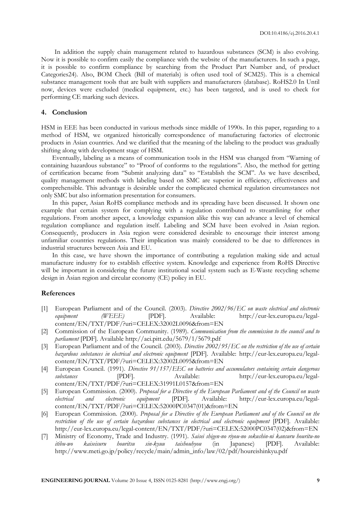In addition the supply chain management related to hazardous substances (SCM) is also evolving. Now it is possible to confirm easily the compliance with the website of the manufacturers. In such a page, it is possible to confirm compliance by searching from the Product Part Number and, of product Categories24). Also, BOM Check (Bill of materials) is often used tool of SCM25). This is a chemical substance management tools that are built with suppliers and manufacturers (database). RoHS2.0 In Until now, devices were excluded (medical equipment, etc.) has been targeted, and is used to check for performing CE marking such devices.

# **4. Conclusion**

HSM in EEE has been conducted in various methods since middle of 1990s. In this paper, regarding to a method of HSM, we organized historically correspondence of manufacturing factories of electronic products in Asian countries. And we clarified that the meaning of the labeling to the product was gradually shifting along with development stage of HSM.

Eventually, labeling as a means of communication tools in the HSM was changed from "Warning of containing hazardous substance" to "Proof of conforms to the regulations". Also, the method for getting of certification became from "Submit analyzing data" to "Establish the SCM". As we have described, quality management methods with labeling based on SMC are superior in efficiency, effectiveness and comprehensible. This advantage is desirable under the complicated chemical regulation circumstances not only SMC but also information presentation for consumers.

In this paper, Asian RoHS compliance methods and its spreading have been discussed. It shown one example that certain system for complying with a regulation contributed to streamlining for other regulations. From another aspect, a knowledge expansion alike this way can advance a level of chemical regulation compliance and regulation itself. Labeling and SCM have been evolved in Asian region. Consequently, producers in Asia region were considered desirable to encourage their interest among unfamiliar countries regulations. Their implication was mainly considered to be due to differences in industrial structures between Asia and EU.

In this case, we have shown the importance of contributing a regulation making side and actual manufacture industry for to establish effective system. Knowledge and experience from RoHS Directive will be important in considering the future institutional social system such as E-Waste recycling scheme design in Asian region and circular economy (CE) policy in EU.

# **References**

- [1] European Parliament and of the Council. (2003). *Directive 2002/96/EC on waste electrical and electronic*  equipment (WEEE) [PDF]. Available: http://eur-lex.europa.eu/legalcontent/EN/TXT/PDF/?uri=CELEX:32002L0096&from=EN
- [2] Commission of the European Community. (1989). *Communication from the commission to the council and to parliament* [PDF]. Available http://aei.pitt.edu/5679/1/5679.pdf
- [3] European Parliament and of the Council. (2003). *Directive 2002/95/EC on the restriction of the use of certain hazardous substances in electrical and electronic equipment* [PDF]. Available: http://eur-lex.europa.eu/legalcontent/EN/TXT/PDF/?uri=CELEX:32002L0095&from=EN
- [4] European Council. (1991). *Directive 91/157/EEC on batteries and accumulators containing certain dangerous substances* [PDF]. Available: http://eur-lex.europa.eu/legalcontent/EN/TXT/PDF/?uri=CELEX:31991L0157&from=EN
- [5] European Commission. (2000). *Proposal for a Directive of the European Parliament and of the Council on waste electrical and electronic equipment* [PDF]. Available: http://eur-lex.europa.eu/legalcontent/EN/TXT/PDF/?uri=CELEX:52000PC0347(01)&from=EN
- [6] European Commission. (2000). *Proposal for a Directive of the European Parliament and of the Council on the restriction of the use of certain hazardous substances in electrical and electronic equipment* [PDF]. Available: http://eur-lex.europa.eu/legal-content/EN/TXT/PDF/?uri=CELEX:52000PC0347(02)&from=EN
- [7] Ministry of Economy, Trade and Industry. (1991). *Saisei shigen-no riyou-no sokushin-ni kansuru houritu-no itibu-wo kaiseisuru houritsu sin-kyuu taishouhyou* (in Japanese) [PDF]. Available: http://www.meti.go.jp/policy/recycle/main/admin\_info/law/02/pdf/houreishinkyu.pdf